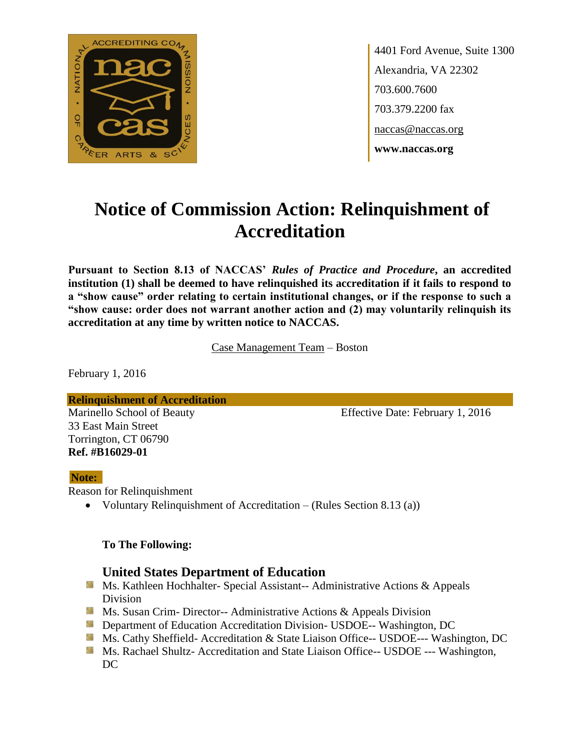

4401 Ford Avenue, Suite 1300 Alexandria, VA 22302 703.600.7600 703.379.2200 fax naccas@naccas.org **www.naccas.org**

# **Notice of Commission Action: Relinquishment of Accreditation**

**Pursuant to Section 8.13 of NACCAS'** *Rules of Practice and Procedure***, an accredited institution (1) shall be deemed to have relinquished its accreditation if it fails to respond to a "show cause" order relating to certain institutional changes, or if the response to such a "show cause: order does not warrant another action and (2) may voluntarily relinquish its accreditation at any time by written notice to NACCAS.**

Case Management Team – Boston

February 1, 2016

**Relinquishment of Accreditation** Marinello School of Beauty Effective Date: February 1, 2016 33 East Main Street Torrington, CT 06790 **Ref. #B16029-01**

### **Note:**

Reason for Relinquishment

• Voluntary Relinquishment of Accreditation – (Rules Section 8.13 (a))

### **To The Following:**

## **United States Department of Education**

- **Ms. Kathleen Hochhalter- Special Assistant-- Administrative Actions & Appeals** Division
- **Ms. Susan Crim- Director-- Administrative Actions & Appeals Division**
- **External Department of Education Accreditation Division- USDOE-- Washington, DC**
- Ms. Cathy Sheffield- Accreditation & State Liaison Office-- USDOE--- Washington, DC
- **MS. Rachael Shultz- Accreditation and State Liaison Office-- USDOE --- Washington,** DC